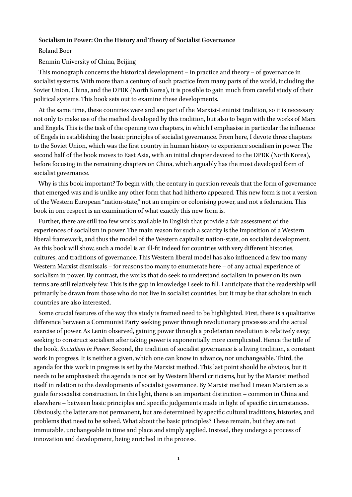#### **Socialism in Power: On the History and Theory of Socialist Governance**

Roland Boer

Renmin University of China, Beijing

This monograph concerns the historical development – in practice and theory – of governance in socialist systems. With more than a century of such practice from many parts of the world, including the Soviet Union, China, and the DPRK (North Korea), it is possible to gain much from careful study of their political systems. This book sets out to examine these developments.

At the same time, these countries were and are part of the Marxist-Leninist tradition, so it is necessary not only to make use of the method developed by this tradition, but also to begin with the works of Marx and Engels. This is the task of the opening two chapters, in which I emphasise in particular the influence of Engels in establishing the basic principles of socialist governance. From here, I devote three chapters to the Soviet Union, which was the first country in human history to experience socialism in power. The second half of the book moves to East Asia, with an initial chapter devoted to the DPRK (North Korea), before focusing in the remaining chapters on China, which arguably has the most developed form of socialist governance.

Why is this book important? To begin with, the century in question reveals that the form of governance that emerged was and is unlike any other form that had hitherto appeared. This new form is not a version of the Western European "nation-state," not an empire or colonising power, and not a federation. This book in one respect is an examination of what exactly this new form is.

Further, there are still too few works available in English that provide a fair assessment of the experiences of socialism in power. The main reason for such a scarcity is the imposition of a Western liberal framework, and thus the model of the Western capitalist nation-state, on socialist development. As this book will show, such a model is an ill-fit indeed for countries with very different histories, cultures, and traditions of governance. This Western liberal model has also influenced a few too many Western Marxist dismissals – for reasons too many to enumerate here – of any actual experience of socialism in power. By contrast, the works that do seek to understand socialism in power on its own terms are still relatively few. This is the gap in knowledge I seek to fill. I anticipate that the readership will primarily be drawn from those who do not live in socialist countries, but it may be that scholars in such countries are also interested.

Some crucial features of the way this study is framed need to be highlighted. First, there is a qualitative difference between a Communist Party seeking power through revolutionary processes and the actual exercise of power. As Lenin observed, gaining power through a proletarian revolution is relatively easy; seeking to construct socialism after taking power is exponentially more complicated. Hence the title of the book, *Socialism in Power*. Second, the tradition of socialist governance is a living tradition, a constant work in progress. It is neither a given, which one can know in advance, nor unchangeable. Third, the agenda for this work in progress is set by the Marxist method. This last point should be obvious, but it needs to be emphasised: the agenda is not set by Western liberal criticisms, but by the Marxist method itself in relation to the developments of socialist governance. By Marxist method I mean Marxism as a guide for socialist construction. In this light, there is an important distinction – common in China and elsewhere – between basic principles and specific judgements made in light of specific circumstances. Obviously, the latter are not permanent, but are determined by specific cultural traditions, histories, and problems that need to be solved. What about the basic principles? These remain, but they are not immutable, unchangeable in time and place and simply applied. Instead, they undergo a process of innovation and development, being enriched in the process.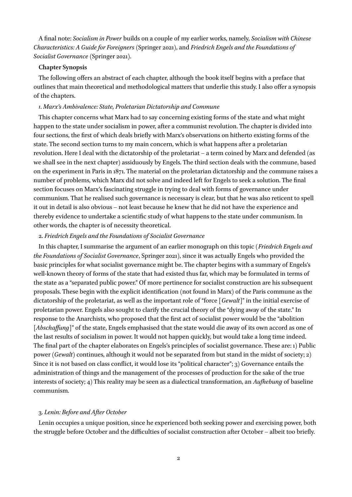A final note: *Socialism in Power* builds on a couple of my earlier works, namely, *Socialism with Chinese Characteristics: A Guide for Foreigners* (Springer 2021), and *Friedrich Engels and the Foundations of Socialist Governance* (Springer 2021).

### **Chapter Synopsis**

The following offers an abstract of each chapter, although the book itself begins with a preface that outlines that main theoretical and methodological matters that underlie this study. I also offer a synopsis of the chapters.

### *1*. *Marx's Ambivalence: State, Proletarian Dictatorship and Commune*

This chapter concerns what Marx had to say concerning existing forms of the state and what might happen to the state under socialism in power, after a communist revolution. The chapter is divided into four sections, the first of which deals briefly with Marx's observations on hitherto existing forms of the state. The second section turns to my main concern, which is what happens after a proletarian revolution. Here I deal with the dictatorship of the proletariat – a term coined by Marx and defended (as we shall see in the next chapter) assiduously by Engels. The third section deals with the commune, based on the experiment in Paris in 1871. The material on the proletarian dictatorship and the commune raises a number of problems, which Marx did not solve and indeed left for Engels to seek a solution. The final section focuses on Marx's fascinating struggle in trying to deal with forms of governance under communism. That he realised such governance is necessary is clear, but that he was also reticent to spell it out in detail is also obvious – not least because he knew that he did not have the experience and thereby evidence to undertake a scientific study of what happens to the state under communism. In other words, the chapter is of necessity theoretical.

### 2. *Friedrich Engels and the Foundations of Socialist Governance*

In this chapter, I summarise the argument of an earlier monograph on this topic (*Friedrich Engels and the Foundations of Socialist Governance*, Springer 2021), since it was actually Engels who provided the basic principles for what socialist governance might be. The chapter begins with a summary of Engels's well-known theory of forms of the state that had existed thus far, which may be formulated in terms of the state as a "separated public power." Of more pertinence for socialist construction are his subsequent proposals. These begin with the explicit identification (not found in Marx) of the Paris commune as the dictatorship of the proletariat, as well as the important role of "force [*Gewalt*]" in the initial exercise of proletarian power. Engels also sought to clarify the crucial theory of the "dying away of the state." In response to the Anarchists, who proposed that the first act of socialist power would be the "abolition [*Abschaffung*]" of the state, Engels emphasised that the state would die away of its own accord as one of the last results of socialism in power. It would not happen quickly, but would take a long time indeed. The final part of the chapter elaborates on Engels's principles of socialist governance. These are: 1) Public power (*Gewalt*) continues, although it would not be separated from but stand in the midst of society; 2) Since it is not based on class conflict, it would lose its "political character"; 3) Governance entails the administration of things and the management of the processes of production for the sake of the true interests of society; 4) This reality may be seen as a dialectical transformation, an *Aufhebung* of baseline communism.

#### 3. *Lenin: Before and After October*

Lenin occupies a unique position, since he experienced both seeking power and exercising power, both the struggle before October and the difficulties of socialist construction after October – albeit too briefly.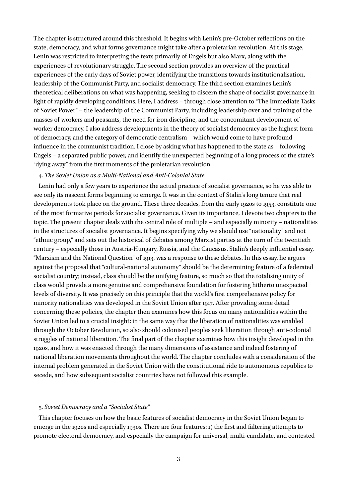The chapter is structured around this threshold. It begins with Lenin's pre-October reflections on the state, democracy, and what forms governance might take after a proletarian revolution. At this stage, Lenin was restricted to interpreting the texts primarily of Engels but also Marx, along with the experiences of revolutionary struggle. The second section provides an overview of the practical experiences of the early days of Soviet power, identifying the transitions towards institutionalisation, leadership of the Communist Party, and socialist democracy. The third section examines Lenin's theoretical deliberations on what was happening, seeking to discern the shape of socialist governance in light of rapidly developing conditions. Here, I address – through close attention to "The Immediate Tasks of Soviet Power" – the leadership of the Communist Party, including leadership over and training of the masses of workers and peasants, the need for iron discipline, and the concomitant development of worker democracy. I also address developments in the theory of socialist democracy as the highest form of democracy, and the category of democratic centralism – which would come to have profound influence in the communist tradition. I close by asking what has happened to the state as – following Engels – a separated public power, and identify the unexpected beginning of a long process of the state's "dying away" from the first moments of the proletarian revolution.

#### 4. *The Soviet Union as a Multi-National and Anti-Colonial State*

Lenin had only a few years to experience the actual practice of socialist governance, so he was able to see only its nascent forms beginning to emerge. It was in the context of Stalin's long tenure that real developments took place on the ground. These three decades, from the early 1920s to 1953, constitute one of the most formative periods for socialist governance. Given its importance, I devote two chapters to the topic. The present chapter deals with the central role of multiple – and especially minority – nationalities in the structures of socialist governance. It begins specifying why we should use "nationality" and not "ethnic group," and sets out the historical of debates among Marxist parties at the turn of the twentieth century – especially those in Austria-Hungary, Russia, and the Caucasus. Stalin's deeply influential essay, "Marxism and the National Question" of 1913, was a response to these debates. In this essay, he argues against the proposal that "cultural-national autonomy" should be the determining feature of a federated socialist country; instead, class should be the unifying feature, so much so that the totalising unity of class would provide a more genuine and comprehensive foundation for fostering hitherto unexpected levels of diversity. It was precisely on this principle that the world's first comprehensive policy for minority nationalities was developed in the Soviet Union after 1917. After providing some detail concerning these policies, the chapter then examines how this focus on many nationalities within the Soviet Union led to a crucial insight: in the same way that the liberation of nationalities was enabled through the October Revolution, so also should colonised peoples seek liberation through anti-colonial struggles of national liberation. The final part of the chapter examines how this insight developed in the 1920s, and how it was enacted through the many dimensions of assistance and indeed fostering of national liberation movements throughout the world. The chapter concludes with a consideration of the internal problem generated in the Soviet Union with the constitutional ride to autonomous republics to secede, and how subsequent socialist countries have not followed this example.

### 5. *Soviet Democracy and a "Socialist State"*

This chapter focuses on how the basic features of socialist democracy in the Soviet Union began to emerge in the 1920s and especially 1930s. There are four features: 1) the first and faltering attempts to promote electoral democracy, and especially the campaign for universal, multi-candidate, and contested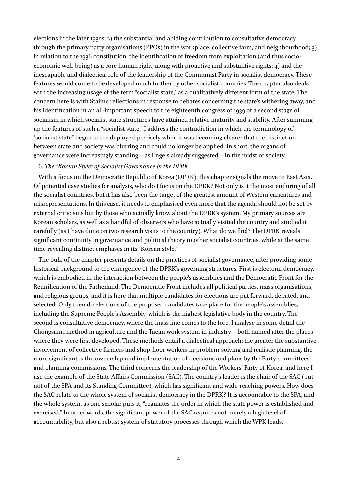elections in the later 1930s; 2) the substantial and abiding contribution to consultative democracy through the primary party organisations (PPOs) in the workplace, collective farm, and neighbourhood; 3) in relation to the 1936 constitution, the identification of freedom from exploitation (and thus socioeconomic well-being) as a core human right, along with proactive and substantive rights; 4) and the inescapable and dialectical role of the leadership of the Communist Party in socialist democracy. These features would come to be developed much further by other socialist countries. The chapter also deals with the increasing usage of the term "socialist state," as a qualitatively different form of the state. The concern here is with Stalin's reflections in response to debates concerning the state's withering away, and his identification in an all-important speech to the eighteenth congress of 1939 of a second stage of socialism in which socialist state structures have attained relative maturity and stability. After summing up the features of such a "socialist state," I address the contradiction in which the terminology of "socialist state" began to the deployed precisely when it was becoming clearer that the distinction between state and society was blurring and could no longer be applied. In short, the organs of governance were increasingly standing – as Engels already suggested – in the midst of society.

# 6. *The "Korean Style" of Socialist Governance in the DPRK*

With a focus on the Democratic Republic of Korea (DPRK), this chapter signals the move to East Asia. Of potential case studies for analysis, who do I focus on the DPRK? Not only is it the most enduring of all the socialist countries, but it has also been the target of the greatest amount of Western caricatures and misrepresentations. In this case, it needs to emphasised even more that the agenda should not be set by external criticisms but by those who actually know about the DPRK's system. My primary sources are Korean scholars, as well as a handful of observers who have actually visited the country and studied it carefully (as I have done on two research visits to the country). What do we find? The DPRK reveals significant continuity in governance and political theory to other socialist countries, while at the same time revealing distinct emphases in its "Korean style."

The bulk of the chapter presents details on the practices of socialist governance, after providing some historical background to the emergence of the DPRK's governing structures. First is electoral democracy, which is embodied in the interaction between the people's assemblies and the Democratic Front for the Reunification of the Fatherland. The Democratic Front includes all political parties, mass organisations, and religious groups, and it is here that multiple candidates for elections are put forward, debated, and selected. Only then do elections of the proposed candidates take place for the people's assemblies, including the Supreme People's Assembly, which is the highest legislative body in the country. The second is consultative democracy, where the mass line comes to the fore. I analyse in some detail the Chongsanri method in agriculture and the Taean work system in industry – both named after the places where they were first developed. These methods entail a dialectical approach: the greater the substantive involvement of collective farmers and shop-floor workers in problem-solving and realistic planning, the more significant is the ownership and implementation of decisions and plans by the Party committees and planning commissions. The third concerns the leadership of the Workers' Party of Korea, and here I use the example of the State Affairs Commission (SAC). The country's leader is the chair of the SAC (but not of the SPA and its Standing Committee), which has significant and wide-reaching powers. How does the SAC relate to the whole system of socialist democracy in the DPRK? It is accountable to the SPA, and the whole system, as one scholar puts it, "regulates the order in which the state power is established and exercised." In other words, the significant power of the SAC requires not merely a high level of accountability, but also a robust system of statutory processes through which the WPK leads.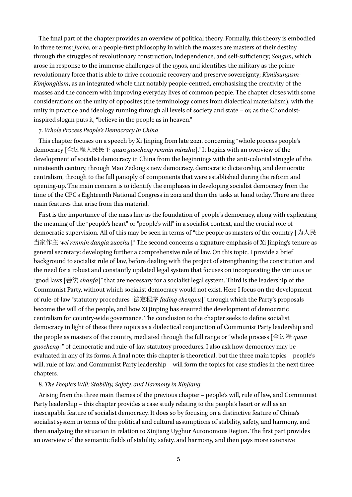The final part of the chapter provides an overview of political theory. Formally, this theory is embodied in three terms: *Juche,* or a people-first philosophy in which the masses are masters of their destiny through the struggles of revolutionary construction, independence, and self-sufficiency; *Songun*, which arose in response to the immense challenges of the 1990s, and identifies the military as the prime revolutionary force that is able to drive economic recovery and preserve sovereignty; *Kimilsungism-Kimjongilism*, as an integrated whole that notably people-centred, emphasising the creativity of the masses and the concern with improving everyday lives of common people. The chapter closes with some considerations on the unity of opposites (the terminology comes from dialectical materialism), with the unity in practice and ideology running through all levels of society and state – or, as the Chondoistinspired slogan puts it, "believe in the people as in heaven."

# 7. *Whole Process People's Democracy in China*

This chapter focuses on a speech by Xi Jinping from late 2021, concerning "whole process people's democracy [全过程人民民主 *quan guocheng renmin minzhu*]." It begins with an overview of the development of socialist democracy in China from the beginnings with the anti-colonial struggle of the nineteenth century, through Mao Zedong's new democracy, democratic dictatorship, and democratic centralism, through to the full panoply of components that were established during the reform and opening-up. The main concern is to identify the emphases in developing socialist democracy from the time of the CPC's Eighteenth National Congress in 2012 and then the tasks at hand today. There are three main features that arise from this material.

First is the importance of the mass line as the foundation of people's democracy, along with explicating the meaning of the "people's heart" or "people's will" in a socialist context, and the crucial role of democratic supervision. All of this may be seen in terms of "the people as masters of the country [为人民 当家作主 *wei renmin dangia zuozhu*]." The second concerns a signature emphasis of Xi Jinping's tenure as general secretary: developing further a comprehensive rule of law. On this topic, I provide a brief background to socialist rule of law, before dealing with the project of strengthening the constitution and the need for a robust and constantly updated legal system that focuses on incorporating the virtuous or "good laws [善法 *shanfa*]" that are necessary for a socialist legal system. Third is the leadership of the Communist Party, without which socialist democracy would not exist. Here I focus on the development of rule-of-law "statutory procedures [法定程序 *fading chengxu*]" through which the Party's proposals become the will of the people, and how Xi Jinping has ensured the development of democratic centralism for country-wide governance. The conclusion to the chapter seeks to define socialist democracy in light of these three topics as a dialectical conjunction of Communist Party leadership and the people as masters of the country, mediated through the full range or "whole process [全过程 *quan guocheng*]" of democratic and rule-of-law statutory procedures. I also ask how democracy may be evaluated in any of its forms. A final note: this chapter is theoretical, but the three main topics – people's will, rule of law, and Communist Party leadership – will form the topics for case studies in the next three chapters.

# 8. *The People's Will: Stability, Safety, and Harmony in Xinjiang*

Arising from the three main themes of the previous chapter – people's will, rule of law, and Communist Party leadership – this chapter provides a case study relating to the people's heart or will as an inescapable feature of socialist democracy. It does so by focusing on a distinctive feature of China's socialist system in terms of the political and cultural assumptions of stability, safety, and harmony, and then analysing the situation in relation to Xinjiang Uyghur Autonomous Region. The first part provides an overview of the semantic fields of stability, safety, and harmony, and then pays more extensive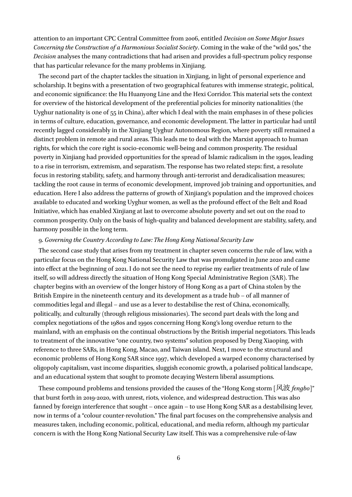attention to an important CPC Central Committee from 2006, entitled *Decision on Some Major Issues Concerning the Construction of a Harmonious Socialist Society*. Coming in the wake of the "wild 90s," the *Decision* analyses the many contradictions that had arisen and provides a full-spectrum policy response that has particular relevance for the many problems in Xinjiang.

The second part of the chapter tackles the situation in Xinjiang, in light of personal experience and scholarship. It begins with a presentation of two geographical features with immense strategic, political, and economic significance: the Hu Huanyong Line and the Hexi Corridor. This material sets the context for overview of the historical development of the preferential policies for minority nationalities (the Uyghur nationality is one of 55 in China), after which I deal with the main emphases in of these policies in terms of culture, education, governance, and economic development. The latter in particular had until recently lagged considerably in the Xinjiang Uyghur Autonomous Region, where poverty still remained a distinct problem in remote and rural areas. This leads me to deal with the Marxist approach to human rights, for which the core right is socio-economic well-being and common prosperity. The residual poverty in Xinjiang had provided opportunities for the spread of Islamic radicalism in the 1990s, leading to a rise in terrorism, extremism, and separatism. The response has two related steps: first, a resolute focus in restoring stability, safety, and harmony through anti-terrorist and deradicalisation measures; tackling the root cause in terms of economic development, improved job training and opportunities, and education. Here I also address the patterns of growth of Xinjiang's population and the improved choices available to educated and working Uyghur women, as well as the profound effect of the Belt and Road Initiative, which has enabled Xinjiang at last to overcome absolute poverty and set out on the road to common prosperity. Only on the basis of high-quality and balanced development are stability, safety, and harmony possible in the long term.

#### 9. *Governing the Country According to Law: The Hong Kong National Security Law*

The second case study that arises from my treatment in chapter seven concerns the rule of law, with a particular focus on the Hong Kong National Security Law that was promulgated in June 2020 and came into effect at the beginning of 2021. I do not see the need to reprise my earlier treatments of rule of law itself, so will address directly the situation of Hong Kong Special Administrative Region (SAR). The chapter begins with an overview of the longer history of Hong Kong as a part of China stolen by the British Empire in the nineteenth century and its development as a trade hub – of all manner of commodities legal and illegal – and use as a lever to destabilise the rest of China, economically, politically, and culturally (through religious missionaries). The second part deals with the long and complex negotiations of the 1980s and 1990s concerning Hong Kong's long overdue return to the mainland, with an emphasis on the continual obstructions by the British imperial negotiators. This leads to treatment of the innovative "one country, two systems" solution proposed by Deng Xiaoping, with reference to three SARs, in Hong Kong, Macao, and Taiwan island. Next, I move to the structural and economic problems of Hong Kong SAR since 1997, which developed a warped economy characterised by oligopoly capitalism, vast income disparities, sluggish economic growth, a polarised political landscape, and an educational system that sought to promote decaying Western liberal assumptions.

These compound problems and tensions provided the causes of the "Hong Kong storm [风波 *fengbo*]" that burst forth in 2019-2020, with unrest, riots, violence, and widespread destruction. This was also fanned by foreign interference that sought – once again – to use Hong Kong SAR as a destabilising lever, now in terms of a "colour counter-revolution." The final part focuses on the comprehensive analysis and measures taken, including economic, political, educational, and media reform, although my particular concern is with the Hong Kong National Security Law itself. This was a comprehensive rule-of-law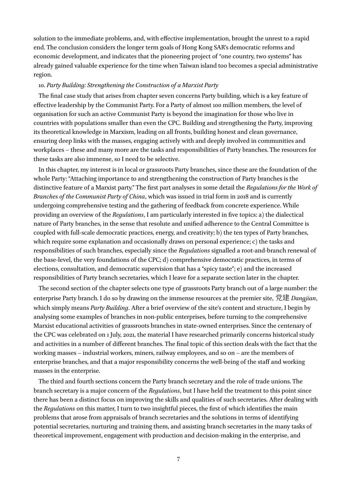solution to the immediate problems, and, with effective implementation, brought the unrest to a rapid end. The conclusion considers the longer term goals of Hong Kong SAR's democratic reforms and economic development, and indicates that the pioneering project of "one country, two systems" has already gained valuable experience for the time when Taiwan island too becomes a special administrative region.

### 10. *Party Building: Strengthening the Construction of a Marxist Party*

The final case study that arises from chapter seven concerns Party building, which is a key feature of effective leadership by the Communist Party. For a Party of almost 100 million members, the level of organisation for such an active Communist Party is beyond the imagination for those who live in countries with populations smaller than even the CPC. Building and strengthening the Party, improving its theoretical knowledge in Marxism, leading on all fronts, building honest and clean governance, ensuring deep links with the masses, engaging actively with and deeply involved in communities and workplaces – these and many more are the tasks and responsibilities of Party branches. The resources for these tasks are also immense, so I need to be selective.

In this chapter, my interest is in local or grassroots Party branches, since these are the foundation of the whole Party: "Attaching importance to and strengthening the construction of Party branches is the distinctive feature of a Marxist party." The first part analyses in some detail the *Regulations for the Work of Branches of the Communist Party of China*, which was issued in trial form in 2018 and is currently undergoing comprehensive testing and the gathering of feedback from concrete experience. While providing an overview of the *Regulations*, I am particularly interested in five topics: a) the dialectical nature of Party branches, in the sense that resolute and unified adherence to the Central Committee is coupled with full-scale democratic practices, energy, and creativity; b) the ten types of Party branches, which require some explanation and occasionally draws on personal experience; c) the tasks and responsibilities of such branches, especially since the *Regulations* signalled a root-and-branch renewal of the base-level, the very foundations of the CPC; d) comprehensive democratic practices, in terms of elections, consultation, and democratic supervision that has a "spicy taste"; e) and the increased responsibilities of Party branch secretaries, which I leave for a separate section later in the chapter.

The second section of the chapter selects one type of grassroots Party branch out of a large number: the enterprise Party branch. I do so by drawing on the immense resources at the premier site, 党建 *Dangjian*, which simply means *Party Building*. After a brief overview of the site's content and structure, I begin by analysing some examples of branches in non-public enterprises, before turning to the comprehensive Marxist educational activities of grassroots branches in state-owned enterprises. Since the centenary of the CPC was celebrated on 1 July, 2021, the material I have researched primarily concerns historical study and activities in a number of different branches. The final topic of this section deals with the fact that the working masses – industrial workers, miners, railway employees, and so on – are the members of enterprise branches, and that a major responsibility concerns the well-being of the staff and working masses in the enterprise.

The third and fourth sections concern the Party branch secretary and the role of trade unions. The branch secretary is a major concern of the *Regulations*, but I have held the treatment to this point since there has been a distinct focus on improving the skills and qualities of such secretaries. After dealing with the *Regulations* on this matter, I turn to two insightful pieces, the first of which identifies the main problems that arose from appraisals of branch secretaries and the solutions in terms of identifying potential secretaries, nurturing and training them, and assisting branch secretaries in the many tasks of theoretical improvement, engagement with production and decision-making in the enterprise, and